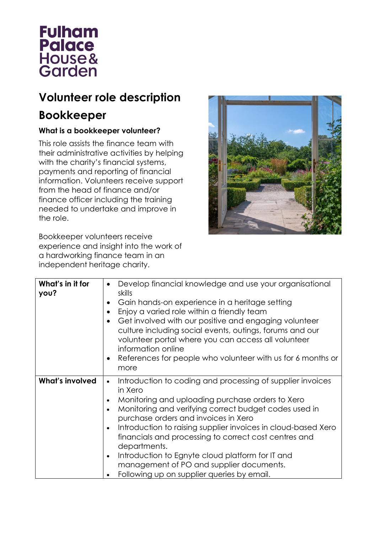

## **Volunteer role description**

## **Bookkeeper**

## **What is a bookkeeper volunteer?**

This role assists the finance team with their administrative activities by helping with the charity's financial systems, payments and reporting of financial information. Volunteers receive support from the head of finance and/or finance officer including the training needed to undertake and improve in the role.

Bookkeeper volunteers receive experience and insight into the work of a hardworking finance team in an independent heritage charity.



| What's in it for<br>you? | Develop financial knowledge and use your organisational<br>skills<br>Gain hands-on experience in a heritage setting<br>Enjoy a varied role within a friendly team<br>Get involved with our positive and engaging volunteer<br>$\bullet$<br>culture including social events, outings, forums and our<br>volunteer portal where you can access all volunteer<br>information online<br>References for people who volunteer with us for 6 months or<br>more                                                                                      |
|--------------------------|----------------------------------------------------------------------------------------------------------------------------------------------------------------------------------------------------------------------------------------------------------------------------------------------------------------------------------------------------------------------------------------------------------------------------------------------------------------------------------------------------------------------------------------------|
| <b>What's involved</b>   | Introduction to coding and processing of supplier invoices<br>$\bullet$<br>in Xero<br>Monitoring and uploading purchase orders to Xero<br>Monitoring and verifying correct budget codes used in<br>purchase orders and invoices in Xero<br>Introduction to raising supplier invoices in cloud-based Xero<br>financials and processing to correct cost centres and<br>departments.<br>Introduction to Egnyte cloud platform for IT and<br>$\bullet$<br>management of PO and supplier documents.<br>Following up on supplier queries by email. |